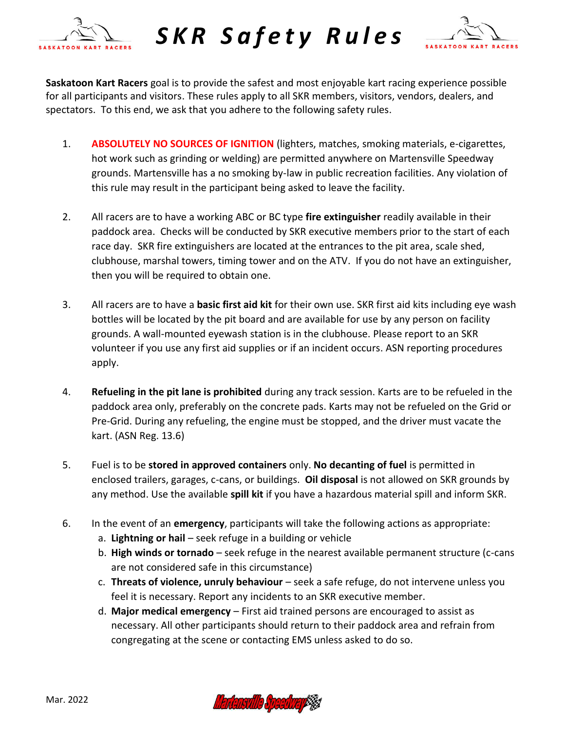

*S K R S a f e t y R u l e s* 



**Saskatoon Kart Racers** goal is to provide the safest and most enjoyable kart racing experience possible for all participants and visitors. These rules apply to all SKR members, visitors, vendors, dealers, and spectators. To this end, we ask that you adhere to the following safety rules.

- 1. **ABSOLUTELY NO SOURCES OF IGNITION** (lighters, matches, smoking materials, e-cigarettes, hot work such as grinding or welding) are permitted anywhere on Martensville Speedway grounds. Martensville has a no smoking by-law in public recreation facilities. Any violation of this rule may result in the participant being asked to leave the facility.
- 2. All racers are to have a working ABC or BC type **fire extinguisher** readily available in their paddock area. Checks will be conducted by SKR executive members prior to the start of each race day. SKR fire extinguishers are located at the entrances to the pit area, scale shed, clubhouse, marshal towers, timing tower and on the ATV. If you do not have an extinguisher, then you will be required to obtain one.
- 3. All racers are to have a **basic first aid kit** for their own use. SKR first aid kits including eye wash bottles will be located by the pit board and are available for use by any person on facility grounds. A wall-mounted eyewash station is in the clubhouse. Please report to an SKR volunteer if you use any first aid supplies or if an incident occurs. ASN reporting procedures apply.
- 4. **Refueling in the pit lane is prohibited** during any track session. Karts are to be refueled in the paddock area only, preferably on the concrete pads. Karts may not be refueled on the Grid or Pre-Grid. During any refueling, the engine must be stopped, and the driver must vacate the kart. (ASN Reg. 13.6)
- 5. Fuel is to be **stored in approved containers** only. **No decanting of fuel** is permitted in enclosed trailers, garages, c-cans, or buildings. **Oil disposal** is not allowed on SKR grounds by any method. Use the available **spill kit** if you have a hazardous material spill and inform SKR.
- 6. In the event of an **emergency**, participants will take the following actions as appropriate:
	- a. **Lightning or hail**  seek refuge in a building or vehicle
	- b. **High winds or tornado** seek refuge in the nearest available permanent structure (c-cans are not considered safe in this circumstance)
	- c. **Threats of violence, unruly behaviour**  seek a safe refuge, do not intervene unless you feel it is necessary. Report any incidents to an SKR executive member.
	- d. **Major medical emergency** First aid trained persons are encouraged to assist as necessary. All other participants should return to their paddock area and refrain from congregating at the scene or contacting EMS unless asked to do so.